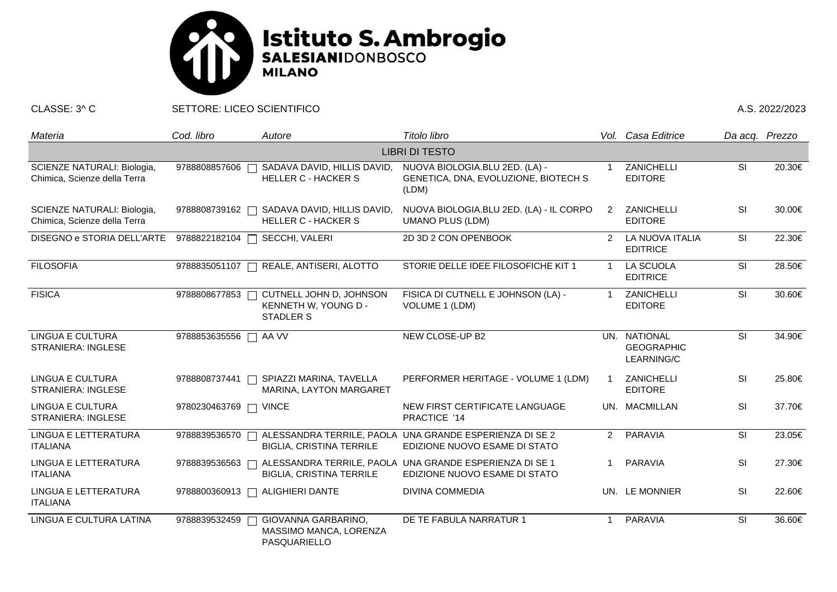

CLASSE: 3^ C SETTORE: LICEO SCIENTIFICO A.S. 2022/2023

| Materia                                                     | Cod. libro    | Autore                                                                        | Titolo libro                                                                             |                | Vol. Casa Editrice                              | Da acq. Prezzo |        |  |  |  |  |
|-------------------------------------------------------------|---------------|-------------------------------------------------------------------------------|------------------------------------------------------------------------------------------|----------------|-------------------------------------------------|----------------|--------|--|--|--|--|
| <b>LIBRI DI TESTO</b>                                       |               |                                                                               |                                                                                          |                |                                                 |                |        |  |  |  |  |
| SCIENZE NATURALI: Biologia,<br>Chimica, Scienze della Terra | 9788808857606 | SADAVA DAVID, HILLIS DAVID,<br><b>HELLER C - HACKER S</b>                     | NUOVA BIOLOGIA.BLU 2ED. (LA) -<br>GENETICA, DNA, EVOLUZIONE, BIOTECH S<br>(LDM)          |                | ZANICHELLI<br><b>EDITORE</b>                    | <b>SI</b>      | 20.30€ |  |  |  |  |
| SCIENZE NATURALI: Biologia,<br>Chimica, Scienze della Terra | 9788808739162 | SADAVA DAVID, HILLIS DAVID,<br><b>HELLER C - HACKER S</b>                     | NUOVA BIOLOGIA.BLU 2ED. (LA) - IL CORPO<br><b>UMANO PLUS (LDM)</b>                       | $\overline{2}$ | ZANICHELLI<br><b>EDITORE</b>                    | SI             | 30.00€ |  |  |  |  |
| DISEGNO e STORIA DELL'ARTE                                  | 9788822182104 | SECCHI, VALERI                                                                | 2D 3D 2 CON OPENBOOK                                                                     | $\overline{2}$ | LA NUOVA ITALIA<br><b>EDITRICE</b>              | SI             | 22.30€ |  |  |  |  |
| <b>FILOSOFIA</b>                                            | 9788835051107 | REALE, ANTISERI, ALOTTO<br>$\Box$                                             | STORIE DELLE IDEE FILOSOFICHE KIT 1                                                      | -1             | <b>LA SCUOLA</b><br><b>EDITRICE</b>             | <b>SI</b>      | 28.50€ |  |  |  |  |
| <b>FISICA</b>                                               | 9788808677853 | CUTNELL JOHN D, JOHNSON<br>$\Box$<br>KENNETH W, YOUNG D -<br><b>STADLER S</b> | FISICA DI CUTNELL E JOHNSON (LA) -<br>VOLUME 1 (LDM)                                     |                | ZANICHELLI<br><b>EDITORE</b>                    | <b>SI</b>      | 30.60€ |  |  |  |  |
| <b>LINGUA E CULTURA</b><br><b>STRANIERA: INGLESE</b>        | 9788853635556 | AA VV<br>$\Box$                                                               | NEW CLOSE-UP B2                                                                          |                | UN. NATIONAL<br><b>GEOGRAPHIC</b><br>LEARNING/C | SI             | 34.90€ |  |  |  |  |
| LINGUA E CULTURA<br><b>STRANIERA: INGLESE</b>               | 9788808737441 | SPIAZZI MARINA, TAVELLA<br>MARINA, LAYTON MARGARET                            | PERFORMER HERITAGE - VOLUME 1 (LDM)                                                      |                | <b>ZANICHELLI</b><br><b>EDITORE</b>             | SI             | 25.80€ |  |  |  |  |
| <b>LINGUA E CULTURA</b><br><b>STRANIERA: INGLESE</b>        | 9780230463769 | <b>VINCE</b>                                                                  | NEW FIRST CERTIFICATE LANGUAGE<br>PRACTICE '14                                           |                | UN. MACMILLAN                                   | SI             | 37.70€ |  |  |  |  |
| <b>LINGUA E LETTERATURA</b><br><b>ITALIANA</b>              | 9788839536570 | <b>BIGLIA, CRISTINA TERRILE</b>                                               | ALESSANDRA TERRILE, PAOLA UNA GRANDE ESPERIENZA DI SE 2<br>EDIZIONE NUOVO ESAME DI STATO | $\overline{2}$ | PARAVIA                                         | SI             | 23.05€ |  |  |  |  |
| LINGUA E LETTERATURA<br><b>ITALIANA</b>                     | 9788839536563 | <b>BIGLIA, CRISTINA TERRILE</b>                                               | ALESSANDRA TERRILE, PAOLA UNA GRANDE ESPERIENZA DI SE 1<br>EDIZIONE NUOVO ESAME DI STATO | 1              | <b>PARAVIA</b>                                  | SI             | 27.30€ |  |  |  |  |
| LINGUA E LETTERATURA<br><b>ITALIANA</b>                     |               | 9788800360913 □ ALIGHIERI DANTE                                               | <b>DIVINA COMMEDIA</b>                                                                   |                | UN. LE MONNIER                                  | SI             | 22.60€ |  |  |  |  |
| LINGUA E CULTURA LATINA                                     | 9788839532459 | GIOVANNA GARBARINO,<br>$\Box$<br>MASSIMO MANCA, LORENZA<br>PASQUARIELLO       | DE TE FABULA NARRATUR 1                                                                  |                | <b>PARAVIA</b>                                  | SI             | 36.60€ |  |  |  |  |